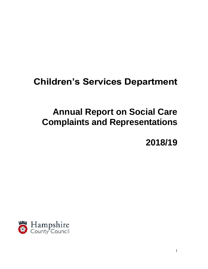# **Children's Services Department**

# **Annual Report on Social Care Complaints and Representations**

**2018/19**

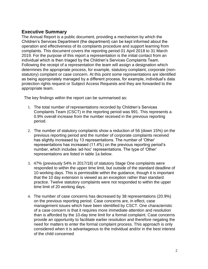# **Executive Summary**

The Annual Report is a public document, providing a mechanism by which the Children's Services Department (the department) can be kept informed about the operation and effectiveness of its complaints procedure and support learning from complaints. This document covers the reporting period 01 April 2018 to 31 March 2019. For the purpose of this report a representation is the initial contact from an individual which is then triaged by the Children's Services Complaints Team. Following the receipt of a representation the team will assign a designation which determines the appropriate process, for example, statutory complaint, corporate (nonstatutory) complaint or case concern. At this point some representations are identified as being appropriately managed by a different process, for example, individual's data protection rights request or Subject Access Requests and they are forwarded to the appropriate team.

The key findings within the report can be summarised as:

- 1. The total number of representations recorded by Children's Services Complaints Team (CSCT) in the reporting period was 991. This represents a 0.9% overall increase from the number received in the previous reporting period.
- 2. The number of statutory complaints show a reduction of 56 (down 15%) on the previous reporting period and the number of corporate complaints received has slightly increased by 13 representations. The number of 'Other' representations has increased (11.4%) on the previous reporting period's number, which includes 'ad-hoc' representations. The type of 'Other' representations are listed in table 1a below.
- 3. 47% (previously 54% in 2017/18) of statutory Stage One complaints were responded to within the upper time limit, but outside of the standard deadline of 10 working days. This is permissible within the guidance, though it is important that the 10 day extension is viewed as an exception rather than standard practice. Twelve statutory complaints were not responded to within the upper time limit of 20 working days.
- 4. The number of case concerns has decreased by 38 representations (20.9%) on the previous reporting period. Case concerns are, in effect, case management issues which have been identified by CSCT. One characteristic of a case concern is that it requires more immediate attention and resolution than is afforded by the 10-day time limit for a formal complaint. Case concerns provide an opportunity to facilitate earlier resolution and therefore negating the need for matters to enter the formal complaint process. This approach is only considered when it is advantageous to the individual and/or in the best interest of the child concerned.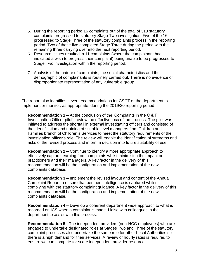- 5. During the reporting period 16 complaints out of the total of 318 statutory complaints progressed to statutory Stage Two investigation. Five of the 16 progressed to Stage Three of the statutory complaints process in the reporting period. Two of these five completed Stage Three during the period with the remaining three carrying over into the next reporting period.
- 6. Resource issues resulted in 11 complaints (where the complainant had indicated a wish to progress their complaint) being unable to be progressed to Stage Two investigation within the reporting period.
- 7. Analysis of the nature of complaints, the social characteristics and the demographic of complainants is routinely carried out. There is no evidence of disproportionate representation of any vulnerable group.

The report also identifies seven recommendations for CSCT or the department to implement or monitor, as appropriate, during the 2019/20 reporting period:

**Recommendation 1 –** At the conclusion of the 'Complaints in the C & F Investigating Officer pilot', review the effectiveness of the process. The pilot was initiated to address the shortfall in external investigating officers and consisted of the identification and training of suitable level managers from Children and Families branch of Children's Services to meet the statutory requirements of the investigation officer's role. The review will enable the identification of strengths and risks of the revised process and inform a decision into future suitability of use.

**Recommendation 2 –** Continue to identify a more appropriate approach to effectively capture learning from complaints whilst minimising the impact on practitioners and their managers. A key factor in the delivery of this recommendation will be the configuration and implementation of the new complaints database.

**Recommendation 3 –** Implement the revised layout and content of the Annual Complaint Report to ensure that pertinent intelligence is captured whilst still complying with the statutory complaint guidance. A key factor in the delivery of this recommendation will be the configuration and implementation of the new complaints database.

**Recommendation 4 –** Develop a coherent department wide approach to what is recorded on ICS when a complaint is made. Liaise with colleagues in the department to assist with this process.

**Recommendation 5** - The independent providers (non-HCC employees) who are engaged to undertake designated roles at Stages Two and Three of the statutory complaint processes also undertake the same role for other Local Authorities so there is a high demand for their services. A review of hourly rates is required to ensure we can compete for scare independent provider resource.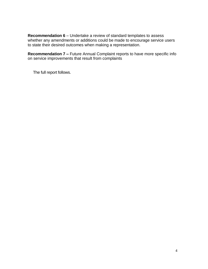**Recommendation 6** – Undertake a review of standard templates to assess whether any amendments or additions could be made to encourage service users to state their desired outcomes when making a representation.

**Recommendation 7 –** Future Annual Complaint reports to have more specific info on service improvements that result from complaints

The full report follows.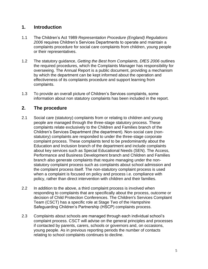# **1. Introduction**

- 1.1 The Children's Act 1989 *Representation Procedure (England) Regulations 2006* requires Children's Services Departments to operate and maintain a complaints procedure for social care complaints from children, young people or their representatives.
- 1.2 The statutory guidance, *Getting the Best from Complaints, DfES 2006* outlines the required procedures, which the Complaints Manager has responsibility for overseeing. The Annual Report is a public document, providing a mechanism by which the department can be kept informed about the operation and effectiveness of its complaints procedure and support learning from complaints.
- 1.3 To provide an overall picture of Children's Services complaints, some information about non statutory complaints has been included in the report.

# **2. The procedure**

- 2.1 Social care (statutory) complaints from or relating to children and young people are managed through the three-stage statutory process. These complaints relate exclusively to the Children and Families branch of the Children's Services Department (the department). Non-social care (nonstatutory) complaints are responded to under the three-stage corporate complaint process. These complaints tend to be predominantly about the Education and Inclusion branch of the department and include complaints about key services such as Special Educational Needs (SEN). The Access, Performance and Business Development branch and Children and Families branch also generate complaints that require managing under the nonstatutory complaint process such as complaints about school admission and the complaint process itself. The non-statutory complaint process is used when a complaint is focused on policy and process i.e. compliance with policy, rather than direct intervention with children and their families.
- 2.2 In addition to the above, a third complaint process is involved when responding to complaints that are specifically about the process, outcome or decision of Child Protection Conferences. The Children's Services Complaint Team (CSCT) has a specific role at Stage Two of the Hampshire Safeguarding Children's Partnership (HSCP) complaints process.
- 2.3 Complaints about schools are managed through each individual school's complaint process. CSCT will advise on the general principles and processes if contacted by parents, carers, schools or governors and, on occasions, young people. As in previous reporting periods the number of contacts relating to school complaints continues to decline.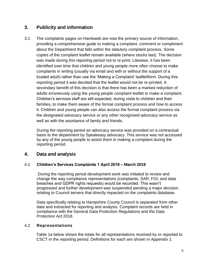# **3. Publicity and information**

3.1 The complaints pages on Hantsweb are now the primary source of information, providing a comprehensive guide to making a complaint, comment or compliment about the Department that falls within the statutory complaint process. Some copies of the complaint leaflet remain available (where stocks last). The decision was made during this reporting period not to re-print. Likewise, it has been identified over time that children and young people more often choose to make complaints in writing (usually via email and with or without the support of a trusted adult) rather than use the 'Making a Complaint' leaflet/form. During this reporting period it was decided that the leaflet would not be re-printed. A secondary benefit of this decision is that there has been a marked reduction of adults erroneously using the young people complaint leaflet to make a complaint. Children's services staff are still expected, during visits to children and their families, to make them aware of the formal complaint process and how to access it. Children and young people can also access the formal complaint process via the designated advocacy service or any other recognised advocacy service as well as with the assistance of family and friends.

During the reporting period an advocacy service was provided on a contractual basis to the department by Speakeasy advocacy. This service was not accessed by any of the young people to assist them in making a complaint during the reporting period.

# **4. Data and analysis**

# 4.1 **Children's Services Complaints 1 April 2018 – March 2019**

During the reporting period development work was initiated to review and change the way compliance representations (complaints, SAR, FOI, and data breaches and GDPR rights requests) would be recorded. This wasn't progressed and further development was suspended pending a major decision relating to Council servers that directly impacted on the complaints database.

Data specifically relating to Hampshire County Council is separated from other data and extracted for reporting and analysis. Complaint records are held in compliance with the General Data Protection Regulations and the Data Protection Act 2018.

# 4.2 **Representations**

Table 1a below shows the totals for all representations received by or reported to CSCT in the reporting period. Definitions for each are shown in Appendix 1.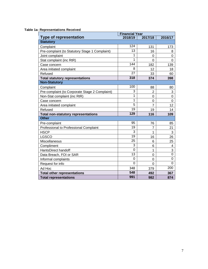#### **Table 1a: Representations Received**

|                                                | <b>Financial Year</b> |                |                |
|------------------------------------------------|-----------------------|----------------|----------------|
| <b>Type of representation</b>                  | 2018/19               | 2017/18        | 2016/17        |
| <b>Statutory</b>                               |                       |                |                |
| Complaint                                      | 124                   | 131            | 173            |
| Pre-complaint (to Statutory Stage 1 Complaint) | $\overline{13}$       | 16             | 8              |
| Joint complaint                                | 1                     | 0              | $\Omega$       |
| Stat complaint (inc RtR)                       | 1                     | $\Omega$       | $\Omega$       |
| Case concern                                   | 144                   | 182            | 139            |
| Area initiated complaint                       | 8                     | 12             | 18             |
| Refused                                        | 27                    | 33             | 60             |
| <b>Total statutory representations</b>         | 318                   | 374            | 398            |
| <b>Non-Statutory</b>                           |                       |                |                |
| Complaint                                      | 100                   | 88             | 80             |
| Pre-complaint (to Corporate Stage 2 Complaint) | 3                     | $\overline{2}$ | 3              |
| Non-Stat complaint (inc RtR)                   | 1                     | 0              | $\Omega$       |
| Case concern                                   | 1                     | 0              | $\overline{0}$ |
| Area initiated complaint                       | 5                     | $\overline{7}$ | 12             |
| Refused                                        | 19                    | 19             | 14             |
| <b>Total non-statutory representations</b>     | 129                   | 116            | 109            |
| <b>Other</b>                                   |                       |                |                |
| Pre-complaint                                  | 95                    | 76             | 85             |
| Professional to Professional Complaint         | 19                    | $\overline{7}$ | 21             |
| <b>HSCP</b>                                    | 3                     | 1              | 3              |
| <b>LGSCO</b>                                   | 19                    | 16             | 26             |
| Miscellaneous                                  | 25                    | 6              | 25             |
| Compliment                                     | 3                     | 6              | 4              |
| HantsDirect handoff                            | 0                     | 1              | 3              |
| Data Breach, FOI or SAR                        | 13                    | $\mathbf 0$    | $\overline{0}$ |
| Informal complaints                            | 0                     | $\mathbf 0$    | $\mathbf 0$    |
| Request for info                               | $\Omega$              | $\Omega$       | $\mathbf 0$    |
| Ad Hoc                                         | 348                   | 379            | 200            |
| <b>Total other representations</b>             | 548                   | 492            | 367            |
| <b>Total representations</b>                   | 991                   | 982            | 874            |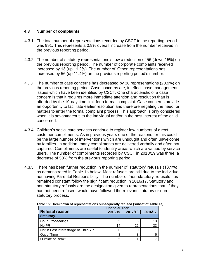#### **4.3 Number of complaints**

- 4.3.1 The total number of representations recorded by CSCT in the reporting period was 991. This represents a 0.9% overall increase from the number received in the previous reporting period.
- 4.3.2 The number of statutory representations show a reduction of 56 (down 15%) on the previous reporting period. The number of corporate complaints received increased by 13 (up 11.2%). The number of 'Other' representations has increased by 56 (up 11.4%) on the previous reporting period's number.
- 4.3.3 The number of case concerns has decreased by 38 representations (20.9%) on the previous reporting period. Case concerns are, in effect, case management issues which have been identified by CSCT. One characteristic of a case concern is that it requires more immediate attention and resolution than is afforded by the 10-day time limit for a formal complaint. Case concerns provide an opportunity to facilitate earlier resolution and therefore negating the need for matters to enter the formal complaint process. This approach is only considered when it is advantageous to the individual and/or in the best interest of the child concerned.
- 4.3.4 Children's social care services continue to register low numbers of direct customer compliments. As in previous years one of the reasons for this could be the large number of interventions which are unsought and often unwelcome by families. In addition, many compliments are delivered verbally and often not captured. Compliments are useful to identify areas which are valued by service users. The number of compliments recorded by CSCT in 2018/19 was three, a decrease of 50% from the previous reporting period.
- 4.3.5 There has been further reduction in the number of 'statutory' refusals (18.1%) as demonstrated in Table 1b below. Most refusals are still due to the individual not having Parental Responsibility. The number of 'non-statutory' refusals has remained constant follow the significant reduction in 2016/17. Statutory and non-statutory refusals are the designation given to representations that, if they had not been refused, would have followed the relevant statutory or nonstatutory process.

|                                      |         | <b>Financial Year</b> |         |  |  |  |
|--------------------------------------|---------|-----------------------|---------|--|--|--|
| <b>Refusal reason</b>                | 2018/19 | 2017/18               | 2016/17 |  |  |  |
| <b>Statutory</b>                     |         |                       |         |  |  |  |
| <b>Court Proceedings</b>             | 5       | 6                     |         |  |  |  |
| No PR                                | 14      | 22                    | 33      |  |  |  |
| Not in Best Interest/Age of Child/YP |         |                       |         |  |  |  |
| Out of Time                          | 3       | 3                     |         |  |  |  |
| <b>Outside of Remit</b>              | 5       |                       |         |  |  |  |

**Table 1b: Breakdown of representations subsequently refused (subset of Table 1a)**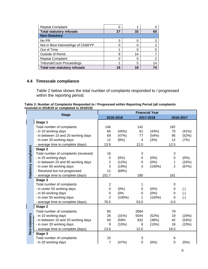| <b>Repeat Complaint</b>              |    |    |    |
|--------------------------------------|----|----|----|
| <b>Total statutory refusals</b>      | 27 | 33 | 60 |
| <b>Non-Statutory</b>                 |    |    |    |
| No PR                                | 3  |    | 3  |
| Not in Best Interest/Age of Child/YP |    |    | າ  |
| Out of Time                          |    |    |    |
| <b>Outside of Remit</b>              | 9  | 14 |    |
| <b>Repeat Complaint</b>              |    |    | っ  |
| <b>Tribunal/Court Proceedings</b>    |    | 5  | 14 |
| <b>Total non statutory refusals</b>  | 19 | 19 |    |

# **4.4 Timescale compliance**

Table 2 below shows the total number of complaints responded to / progressed within the reporting period.

**Table 2: Number of Complaints Responded to / Progressed within Reporting Period (all complaints received in 2018/19 or completed in 2018/19)**

|                             |                                       | <b>Financial Year</b> |           |                |           |                |           |
|-----------------------------|---------------------------------------|-----------------------|-----------|----------------|-----------|----------------|-----------|
|                             | <b>Stage</b>                          |                       | 2018-2019 |                | 2017-2018 |                | 2016-2017 |
|                             | Stage 1                               |                       |           |                |           |                |           |
|                             | Total number of complaints            | 146                   |           | 142            |           | 182            |           |
|                             | - in 10 working days                  | 65                    | (45%)     | 61             | (43%)     | 75             | (41%)     |
|                             | - in between 10 and 20 working days   | 69                    | (47%)     | 77             | (54%)     | 95             | (52%)     |
|                             | - in over 20 working days             | 12                    | (8%)      | $\overline{4}$ | (3%)      | 12             | (7%)      |
|                             | - average time to complete (days)     | 13.9                  |           | 12.0           |           | 12.5           |           |
| <b>Statutory complaints</b> | Stage 2                               |                       |           |                |           |                |           |
|                             | Total number of complaints (received) | 16                    |           | 3              |           | 3              |           |
|                             | - in 25 working days                  | 0                     | (0%)      | 0              | (0%)      | 0              | (0%)      |
|                             | - in between 25 and 65 working days   | $\overline{2}$        | (12%)     | 0              | $(0\%)$   | 1              | (33%)     |
|                             | - in over 65 working days             | 3                     | (19%)     | 3              | $(100\%)$ | $\overline{2}$ | (67%)     |
|                             | - Received but not progressed         | 11                    | (69%)     |                |           |                |           |
|                             | - average time to complete (days)     | 152.7                 |           | 180            |           | 161            |           |
|                             | Stage 3                               |                       |           |                |           |                |           |
|                             | Total number of complaints            | $\overline{2}$        |           |                |           | 0              |           |
|                             | - in under 50 working days            | $\mathbf 0$           | $(0\%)$   | 0              | (0%)      | 0              | $(\cdot)$ |
|                             | - in 50 working days                  | 0                     | (0%       | 0              | (0%)      | 0              | $(-)$     |
|                             | - in over 50 working days             | $\overline{2}$        | $(100\%)$ | 1              | $(100\%)$ | 0              | $(-)$     |
|                             | - average time to complete (days)     | 76.5                  |           | 53.0           |           | 0.0            |           |
|                             | Stage 2                               |                       |           |                |           |                |           |
|                             | Total number of complaints            | 85                    |           | 2684           |           | 79             |           |
|                             | - in 10 working days                  | 26                    | (31%)     | 5044           | (52%)     | 19             | (24%)     |
|                             | - in between 10 and 20 working days   | 50                    | (59%      | 932            | (38%)     | 42             | (53%)     |
|                             | - in over 20 working days             | 9                     | (10%)     | 8              | (10%)     | 18             | (23%)     |
| Non-statutory               | - average time to complete (days)     | 13.6                  |           | 12.0           |           | 16.0           |           |
|                             | Stage 3                               |                       |           |                |           |                |           |
|                             | Total number of complaints            | 15                    |           | 3              |           | 6              |           |
|                             | - in 20 working days                  | $\overline{7}$        | (47%)     | $\mathbf 0$    | (0%)      | 0              | $(0\%)$   |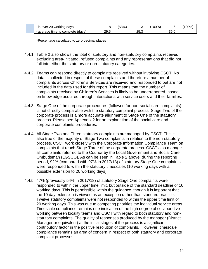| - in over 20 working days         |      | (53%) |      | $'100\%$ |      | $'100\%$ |
|-----------------------------------|------|-------|------|----------|------|----------|
| - average time to complete (days) | 29.5 |       | 25.3 |          | 36.C |          |

\*Percentage calculated to zero decimal places

- 4.4.1 Table 2 also shows the total of statutory and non-statutory complaints received, excluding area-initiated, refused complaints and any representations that did not fall into either the statutory or non-statutory categories.
- 4.4.2 Teams can respond directly to complaints received without involving CSCT. No data is collected in respect of these complaints and therefore a number of complaints across Children's Services are received and responded to but are not included in the data used for this report. This means that the number of complaints received by Children's Services is likely to be underreported, based on knowledge acquired through interactions with service users and their families.
- 4.4.3 Stage One of the corporate procedures (followed for non-social care complaints) is not directly comparable with the statutory complaint process. Stage Two of the corporate process is a more accurate alignment to Stage One of the statutory process. Please see Appendix 2 for an explanation of the social care and corporate complaints procedures.
- 4.4.4 All Stage Two and Three statutory complaints are managed by CSCT. This is also true of the majority of Stage Two complaints in relation to the non-statutory process. CSCT work closely with the Corporate Information Compliance Team on complaints that reach Stage Three of the corporate process. CSCT also manage all complaints referred to the Council by the Local Government and Social Care Ombudsman (LGSCO). As can be seen in Table 2 above, during the reporting period, 92% (compared with 97% in 2017/18) of statutory Stage One complaints were responded to within the statutory timescales (10 working days with a possible extension to 20 working days).
- 4.4.5 47% (previously 54% in 2017/18) of statutory Stage One complaints were responded to within the upper time limit, but outside of the standard deadline of 10 working days. This is permissible within the guidance, though it is important that the 10 day extension is viewed as an exception rather than standard practice. Twelve statutory complaints were not responded to within the upper time limit of 20 working days. This was due to competing priorities the individual service areas. Timescale compliance remains one indication of the high degree of collaborative working between locality teams and CSCT with regard to both statutory and nonstatutory complaints. The quality of responses produced by the manager (District Manager or equivalent) at the initial stages of the process is a significant contributory factor in the positive resolution of complaints. However, timescale compliance remains an area of concern in respect of both statutory and corporate complaint processes.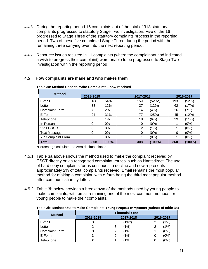- 4.4.6 During the reporting period 16 complaints out of the total of 318 statutory complaints progressed to statutory Stage Two investigation. Five of the 16 progressed to Stage Three of the statutory complaints process in the reporting period. Two of these five completed Stage Three during the period with the remaining three carrying over into the next reporting period.
- 4.4.7 Resource issues resulted in 11 complaints (where the complainant had indicated a wish to progress their complaint) were unable to be progressed to Stage Two investigation within the reporting period.

#### **Table 3a: Method Used to Make Complaints - how received Method 2018-2019 2017-2018 2016-2017** E-mail 166 54% 159 (52%\*) 193 (52%) Letter 38 12% 37 (12%) 62 (17%) Complaint Form 7 2% 14 (4%) 26 (7%) E-Form 94 31% 77 (25%) 45 (12%) Telephone 3 1% 18 (6%) 39 (11%) In Person 0 0% 0 (0%) 1 (0%) Via LGSCO 0 0% 2 (1%) 1 (0%) Text Message  $\begin{array}{cccc} 0 & 0\% & 0 & 0 \end{array}$  0 (0%) 0 (0%) YP Complaint Form  $\begin{vmatrix} 0 & 0 & 0 \\ 0 & 0 & 1 \\ 0 & 0 & 1 \end{vmatrix}$  (0%) | 1 (0%) **Total 308 100% 308 (100%) 368 (100%)**

# **4.5 How complaints are made and who makes them**

\*Percentage calculated to zero decimal places

- 4.5.1 Table 3a above shows the method used to make the complaint received by CSCT directly or via recognised complaint 'routes' such as Hantsdirect. The use of hard copy complaints forms continues to decline and now represents approximately 2% of total complaints received. Email remains the most popular method for making a complaint, with e-form being the third most popular method after communication by letter.
- 4.5.2 Table 3b below provides a breakdown of the methods used by young people to make complaints, with email remaining one of the most common methods for young people to make their complaints.

|                       | <b>Financial Year</b> |                 |                 |  |  |  |  |
|-----------------------|-----------------------|-----------------|-----------------|--|--|--|--|
| <b>Method</b>         | 2018-2019             | 2017-2018       | 2016-2017       |  |  |  |  |
| E-mail                |                       | (1%*)<br>3      | (1%)            |  |  |  |  |
| Letter                |                       | (1%)<br>3       | $^{\prime}$ 1%) |  |  |  |  |
| <b>Complaint Form</b> |                       | (1%)<br>⌒       | (0%             |  |  |  |  |
| E-Form                |                       | (1%)            | (0%)            |  |  |  |  |
| Telephone             |                       | $^{\prime}$ 1%) | (0%             |  |  |  |  |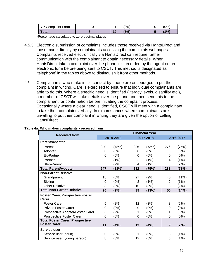| YP Complaint Form |  | $(0\%)$ | $10\%$ |
|-------------------|--|---------|--------|
| <b>Total</b>      |  | (5%)    | 1%     |

\*Percentage calculated to zero decimal places

- 4.5.3 Electronic submission of complaints includes those received via HantsDirect and those made directly by complainants accessing the complaints webpages. Complaints received electronically via HantsDirect can require further communication with the complainant to obtain necessary details. When HantsDirect take a complaint over the phone it is recorded by the agent on an electronic form before being sent to CSCT. This method is designated as 'telephone' in the tables above to distinguish it from other methods.
- 4.5.4 Complainants who make initial contact by phone are encouraged to put their complaint in writing. Care is exercised to ensure that individual complainants are able to do this. Where a specific need is identified (literacy levels, disability etc.), a member of CSCT will take details over the phone and then send this to the complainant for confirmation before initiating the complaint process. Occasionally where a clear need is identified, CSCT will meet with a complainant to take their complaint verbally. In circumstances where complainants are unwilling to put their complaint in writing they are given the option of calling HantsDirect.

| <b>Received from</b>                   | <b>Financial Year</b> |       |                |           |     |           |
|----------------------------------------|-----------------------|-------|----------------|-----------|-----|-----------|
|                                        | 2018-2019             |       |                | 2017-2018 |     | 2016-2017 |
| Parent/Adopter                         |                       |       |                |           |     |           |
| Parent                                 | 240                   | (78%) | 226            | (73%)     | 276 | (75%)     |
| Adopter                                | 0                     | (0%)  | 0              | (0%)      | 0   | (0%)      |
| Ex-Partner                             | 0                     | (0%)  | 0              | (0%)      | 0   | (0%)      |
| Partner                                | $\overline{2}$        | (1%)  | $\overline{2}$ | (1%)      | 4   | (1%)      |
| Step-Parent                            | 5                     | (2%)  | 4              | (1%)      | 8   | (2%)      |
| <b>Total Parent/Adopter</b>            | 247                   | (81%) | 232            | (75%)     | 288 | (78%)     |
| <b>Non-Parent Relative</b>             |                       |       |                |           |     |           |
| Grandparent                            | 18                    | (6%)  | 27             | (9%)      | 40  | (11%)     |
| Sibling                                | 0                     | (0%)  | $\overline{2}$ | (1%)      | 2   | (1%)      |
| <b>Other Relative</b>                  | 8                     | (3%)  | 10             | (3%)      | 8   | (2%)      |
| <b>Total Non-Parent Relative</b>       | 26                    | (9%)  | 39             | (13%)     | 50  | (14%)     |
| <b>Foster Carer/Prospective Foster</b> |                       |       |                |           |     |           |
| Carer                                  |                       |       |                |           |     |           |
| <b>Foster Carer</b>                    | 5                     | (2%)  | 12             | (3%)      | 8   | (2%)      |
| Private Foster Carer                   | $\mathbf 0$           | (0%)  | 0              | (0%)      | 0   | (0%)      |
| Prospective Adopter/Foster Carer       | 6                     | (2%)  | 1              | (0%)      | 1   | (0%)      |
| Prospective Foster Carer               | $\mathbf 0$           | (0%)  | 0              | (0%)      | 0   | (0%)      |
| <b>Total Foster Carer/ Prospective</b> |                       |       |                |           |     |           |
| <b>Foster Carer</b>                    | 11                    | (4%)  | 13             | (4%)      | 9   | (2%)      |
| Service user                           |                       |       |                |           |     |           |
| Service user (adult)                   | 0                     | (0%)  | 1              | (0%)      | 3   | (1%)      |
| Service user (young person)            | 8                     | (3%)  | 12             | (5%)      | 5   | (1%)      |

#### **Table 4a: Who makes complaints - received from**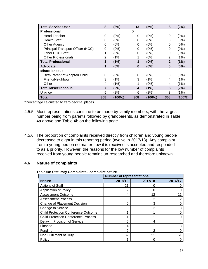| <b>Total Service User</b>         | 8              | (3%)      | 13       | (5%)      | 8              | (2%)      |
|-----------------------------------|----------------|-----------|----------|-----------|----------------|-----------|
| <b>Professional</b>               |                |           | $\Omega$ |           |                |           |
| <b>Head Teacher</b>               | 0              | (0%)      | 0        | (0%)      | 0              | (0%)      |
| <b>Health Staff</b>               | 0              | (0%)      | 0        | (0%)      | 0              | (0%)      |
| Other Agency                      | 0              | (0%)      | 0        | (0%)      | 0              | (0%)      |
| Principal Transport Officer (HCC) | 0              | (0%)      | 0        | (0%)      | 0              | (0%)      |
| Other HCC Staff                   | 1              | (0%)      | 0        | (0%)      | 0              | (0%)      |
| <b>Other Professionals</b>        | $\overline{2}$ | (1%)      |          | (0%)      | $\overline{2}$ | (1%)      |
| <b>Total Professional</b>         | 3              | (1%)      | 1        | (0%)      | $\mathbf{2}$   | (1%)      |
| Advocate                          | 1              | (0%)      | $\bf{0}$ | (0%)      | $\bf{0}$       | (0%)      |
| <b>Miscellaneous</b>              |                |           |          |           |                |           |
| Birth Parent of Adopted Child     | 0              | (0%)      | 0        | (0%)      | $\Omega$       | (0%)      |
| Friend/Neighbour                  | 3              | (1%)      | 3        | (1%)      | 4              | (1%)      |
| Other                             | 4              | (1%)      | 1        | (0%)      | 4              | (1%)      |
| <b>Total Miscellaneous</b>        | 7              | (2%)      | 4        | (1%)      | 8              | (2%)      |
| Unknown                           | 5              | (2%)      | 6        | (2%)      | 3              | (1%)      |
| Total                             | 308            | $(100\%)$ | 308      | $(100\%)$ | 368            | $(100\%)$ |

\*Percentage calculated to zero decimal places

- 4.5.5 Most representations continue to be made by family members, with the largest number being from parents followed by grandparents, as demonstrated in Table 4a above and Table 4b on the following page.
- 4.5.6 The proportion of complaints received directly from children and young people decreased to eight in this reporting period (twelve in 2017/18). Any complaint from a young person no matter how it is received is accepted and responded to as a priority. However, the reasons for the low number of complaints received from young people remains un-researched and therefore unknown.

#### **4.6 Nature of complaints**

#### **Table 5a: Statutory Complaints - complaint nature**

|                                            | <b>Number of representations</b> |         |         |  |  |
|--------------------------------------------|----------------------------------|---------|---------|--|--|
| <b>Nature</b>                              | 2018/19                          | 2017/18 | 2016/17 |  |  |
| <b>Actions of Staff</b>                    | 21                               | U       |         |  |  |
| Application of Policy                      | 2                                | 0       |         |  |  |
| <b>Assessment Outcome</b>                  | 4                                | 12      |         |  |  |
| <b>Assessment Process</b>                  | 3                                | 2       |         |  |  |
| Change of Placement Decision               | 0                                | 3       |         |  |  |
| Change to Service                          | 3                                | 2       | 3       |  |  |
| <b>Child Protection Conference Outcome</b> |                                  |         |         |  |  |
| <b>Child Protection Conference Process</b> |                                  |         |         |  |  |
| Delay in Provision of Service              | 6                                | 4       |         |  |  |
| Finance                                    | 4                                |         |         |  |  |
| Funding                                    | 2                                | 2       |         |  |  |
| Non Fulfilment of Duty                     | 32                               | 51      | 51      |  |  |
| Policy                                     |                                  |         |         |  |  |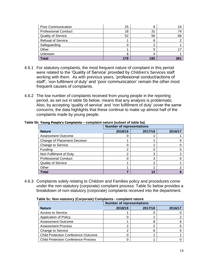| Poor Communication          | 25  | g   | 24 |
|-----------------------------|-----|-----|----|
| <b>Professional Conduct</b> | 18  | 31  |    |
| <b>Quality of Service</b>   | 52  | 56  | 68 |
| <b>Refusal of Service</b>   |     | հ   |    |
| Safeguarding                |     |     |    |
| Other                       |     |     |    |
| Unknown                     |     |     |    |
| Total                       | 179 | 192 |    |

- 4.6.1 For statutory complaints, the most frequent nature of complaint in this period were related to the 'Quality of Service' provided by Children's Services staff working with them. As with previous years, 'professional conduct/actions of staff', 'non fulfilment of duty' and 'poor communication' remain the other most frequent causes of complaints.
- 4.6.2 The low number of complaints received from young people in the reporting period, as set out in table 5b below, means that any analysis is problematic. Also, by accepting 'quality of service' and 'non fulfillment of duty' cover the same concerns, the data highlights that these continue to make up almost half of the complaints made by young people.

|                                     | <b>Number of representations</b> |         |         |  |  |  |
|-------------------------------------|----------------------------------|---------|---------|--|--|--|
| <b>Nature</b>                       | 2018/19                          | 2017/18 | 2016/17 |  |  |  |
| <b>Assessment Outcome</b>           | O                                |         |         |  |  |  |
| <b>Change of Placement Decision</b> |                                  |         |         |  |  |  |
| Change to Service                   | 0                                |         |         |  |  |  |
| Funding                             | ⌒                                |         |         |  |  |  |
| Non Fulfilment of Duty              | 2                                | 3       |         |  |  |  |
| <b>Professional Conduct</b>         | 0                                | 3       |         |  |  |  |
| <b>Quality of Service</b>           |                                  | ◠       |         |  |  |  |
| Other                               |                                  |         |         |  |  |  |
| Total                               |                                  |         |         |  |  |  |

#### **Table 5b: Young People's Complaints – complaint nature (subset of table 5a)**

4.6.3 Complaints solely relating to Children and Families policy and procedures come under the non-statutory (corporate) complaint process. Table 5c below provides a breakdown of non-statutory (corporate) complaints received into the department.

| rable 5c. Non-Statutory (Corporate) Complaints - complaint nature |                                  |         |         |  |  |
|-------------------------------------------------------------------|----------------------------------|---------|---------|--|--|
|                                                                   | <b>Number of representations</b> |         |         |  |  |
| <b>Nature</b>                                                     | 2018/19                          | 2017/18 | 2016/17 |  |  |
| <b>Access to Service</b>                                          |                                  |         |         |  |  |
| Application of Policy                                             |                                  |         |         |  |  |
| <b>Assessment Outcome</b>                                         |                                  |         |         |  |  |
| <b>Assessment Process</b>                                         | ⌒                                |         |         |  |  |
| <b>Change to Service</b>                                          | ⌒                                |         |         |  |  |
| <b>Child Protection Conference Outcome</b>                        |                                  |         |         |  |  |
| <b>Child Protection Conference Process</b>                        |                                  |         |         |  |  |

**Table 5c: Non-statutory (Corporate) Complaints - complaint nature**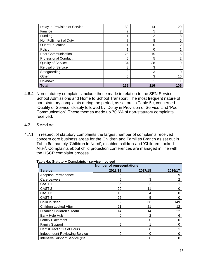| Delay in Provision of Service | 30  | 14  | 29  |
|-------------------------------|-----|-----|-----|
| Finance                       | 2   | 5   |     |
| Funding                       |     | າ   | 3   |
| Non Fulfilment of Duty        |     | 8   | 5   |
| Out of Education              |     | ∩   | 2   |
| Policy                        |     |     |     |
| Poor Communication            | 25  | 15  | 6   |
| <b>Professional Conduct</b>   | 5   | 5   | 2   |
| <b>Quality of Service</b>     | 34  | 38  | 19  |
| <b>Refusal of Service</b>     | 3   | 3   |     |
| Safeguarding                  | 0   | 3   |     |
| Other                         | 5   | 3   | 16  |
| Unknown                       | 9   |     |     |
| Total                         | 129 | 116 | 109 |

4.6.4 Non-statutory complaints include those made in relation to the SEN Service, School Admissions and Home to School Transport. The most frequent nature of non-statutory complaints during the period, as set out in Table 5c, concerned 'Quality of Service' closely followed by 'Delay in Provision of Service' and 'Poor Communication'. These themes made up 70.6% of non-statutory complaints received.

### **4.7 Service**

4.7.1 In respect of statutory complaints the largest number of complaints received concern core business areas for the Children and Families Branch as set out in Table 6a, namely 'Children in Need', disabled children and 'Children Looked After'. Complaints about child protection conferences are managed in line with the HSCP complaint process.

|                                      | <b>Number of representations</b> |         |         |  |  |
|--------------------------------------|----------------------------------|---------|---------|--|--|
| <b>Service</b>                       | 2018/19                          | 2017/18 | 2016/17 |  |  |
| Adoption/Permanence                  | 6                                | 2       | 9       |  |  |
| Care Leavers                         | 5                                | 3       | 2       |  |  |
| CAST <sub>1</sub>                    | 36                               | 22      |         |  |  |
| CAST <sub>2</sub>                    | 29                               | 11      | Ω       |  |  |
| CAST <sub>3</sub>                    | 18                               | 4       | o       |  |  |
| CAST <sub>4</sub>                    | 25                               | 5       | O       |  |  |
| Child in Need                        | 2                                | 66      | 149     |  |  |
| <b>Children Looked After</b>         | 21                               | 21      | 12      |  |  |
| Disabled Children's Team             | 14                               | 14      | 22      |  |  |
| Early Help Hub                       | 0                                | 2       | 6       |  |  |
| <b>Family Placement</b>              | 0                                | 0       | 0       |  |  |
| <b>Family Support</b>                | 5                                | 1       | Ω       |  |  |
| HantsDirect / Out of Hours           | 0                                | 0       |         |  |  |
| <b>Independent Reviewing Service</b> | 0                                | 0       | O       |  |  |
| Intensive Support Service (ISS)      | 0                                | 0       |         |  |  |

**Table 6a: Statutory Complaints - service involved**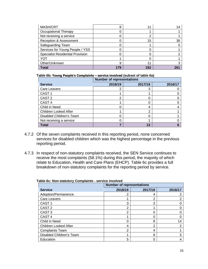| <b>MASH/CRT</b>                         | 8   | 11  |     |
|-----------------------------------------|-----|-----|-----|
| <b>Occupational Therapy</b>             |     |     |     |
| Not receiving a service                 |     | າ   |     |
| Reception & Assessment                  |     | 15  | 36  |
| Safeguarding Team                       |     |     |     |
| Services for Young People / YSS         |     | O   |     |
| <b>Specialist Residential Provision</b> |     |     |     |
| YOT                                     |     | 0   |     |
| Other/Unknown                           | 9   | 11  |     |
| Total                                   | 179 | 192 | 261 |

#### **Table 6b: Young People's Complaints – service involved (subset of table 6a)**

|                              | <b>Number of representations</b> |         |         |  |  |  |
|------------------------------|----------------------------------|---------|---------|--|--|--|
| <b>Service</b>               | 2018/19                          | 2017/18 | 2016/17 |  |  |  |
| <b>Care Leavers</b>          |                                  | 3       |         |  |  |  |
| CAST <sub>1</sub>            |                                  |         |         |  |  |  |
| CAST <sub>2</sub>            |                                  |         |         |  |  |  |
| CAST <sub>4</sub>            |                                  |         |         |  |  |  |
| Child in Need                |                                  |         |         |  |  |  |
| <b>Children Looked After</b> |                                  | ⌒       |         |  |  |  |
| Disabled Children's Team     |                                  | Ω       |         |  |  |  |
| Not receiving a service      |                                  |         |         |  |  |  |
| <b>Total</b>                 |                                  | 12      |         |  |  |  |

- 4.7.2 Of the seven complaints received in this reporting period, none concerned services for disabled children which was the highest percentage in the previous reporting period.
- 4.7.3 In respect of non-statutory complaints received, the SEN Service continues to receive the most complaints (58.1%) during this period, the majority of which relate to Education, Health and Care Plans (EHCP). Table 6c provides a full breakdown of non-statutory complaints for the reporting period by service.

|                              |                | <b>Number of representations</b> |         |  |  |  |
|------------------------------|----------------|----------------------------------|---------|--|--|--|
| <b>Service</b>               | 2018/19        | 2017/18                          | 2016/17 |  |  |  |
| Adoption/Permanence          | 2              | 4                                |         |  |  |  |
| Care Leavers                 |                | 2                                | ⌒       |  |  |  |
| CAST <sub>1</sub>            | 3              | 3                                |         |  |  |  |
| CAST <sub>2</sub>            | 2              |                                  |         |  |  |  |
| CAST <sub>3</sub>            | 2              |                                  |         |  |  |  |
| CAST <sub>4</sub>            |                | 0                                |         |  |  |  |
| Child in Need                | 0              | 8                                | 14      |  |  |  |
| <b>Children Looked After</b> | 4              | 2                                | 2       |  |  |  |
| <b>Complaints Team</b>       | $\overline{2}$ | 4                                |         |  |  |  |
| Disabled Children's Team     | л              | 8                                | 5       |  |  |  |
| Education                    | 5              | 5                                |         |  |  |  |

**Table 6c: Non-statutory Complaints - service involved**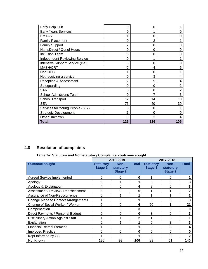| Early Help Hub                         | 0        | 0   |                |
|----------------------------------------|----------|-----|----------------|
| <b>Early Years Services</b>            | 0        |     |                |
| <b>EMTAS</b>                           |          | 0   | O              |
| <b>Family Placement</b>                | 0        | 2   |                |
| <b>Family Support</b>                  | 2        | 0   |                |
| HantsDirect / Out of Hours             | 0        | 0   | 0              |
| <b>Inclusion Team</b>                  | 3        | 0   | ი              |
| <b>Independent Reviewing Service</b>   | 0        |     |                |
| <b>Intensive Support Service (ISS)</b> | 0        | 0   | 0              |
| MASH/CRT                               | 2        | 4   | 6              |
| Non HCC                                |          | 0   |                |
| Not receiving a service                | 0        | 3   | 4              |
| Reception & Assessment                 | 2        | 5   | 4              |
| Safeguarding                           | 0        | 0   | $\overline{2}$ |
| <b>SAR</b>                             | 0        | 0   | $\overline{2}$ |
| <b>School Admissions Team</b>          | 0        |     | 3              |
| School Transport                       | 17       | 14  | 10             |
| <b>SEN</b>                             | 75       | 40  | 39             |
| Services for Young People / YSS        | 0        | 0   |                |
| <b>Strategic Development</b>           |          | 0   | 0              |
| Other/Unknown                          | $\Omega$ | 2   |                |
| <b>Total</b>                           | 129      | 116 | 109            |

# **4.8 Resolution of complaints**

# **Table 7a: Statutory and Non-statutory Complaints - outcome sought**

|                                          |                             | 2018-2019                           | 2017-2018    |                                    |                                     |              |
|------------------------------------------|-----------------------------|-------------------------------------|--------------|------------------------------------|-------------------------------------|--------------|
| <b>Outcome sought</b>                    | <b>Statutory</b><br>Stage 1 | Non-<br>statutory<br><b>Stage 2</b> | <b>Total</b> | <b>Statutory</b><br><b>Stage 1</b> | Non-<br>statutory<br><b>Stage 2</b> | <b>Total</b> |
| <b>Agreed Service Implemented</b>        | $\Omega$                    | 0                                   | $\bf{0}$     |                                    | 0                                   |              |
| Apology                                  | 0                           |                                     |              | $\Omega$                           | 3                                   | 3            |
| Apology & Explanation                    | 4                           | 0                                   | 4            | 8                                  | 0                                   | 8            |
| Assessment / Review / Reassessment       | 5                           | 0                                   | 5            |                                    |                                     | $\mathbf{2}$ |
| Assurance of Non-Reoccurrence            | 0                           |                                     |              |                                    |                                     | $\mathbf{2}$ |
| Change Made to Contact Arrangements      |                             | 0                                   |              | 3                                  | 0                                   | 3            |
| Change of Social Worker / Worker         | 6                           | 0                                   | 6            | 20                                 |                                     | 21           |
| Compensation                             | 3                           | 0                                   | 3            | $\Omega$                           | 0                                   | O            |
| Direct Payments / Personal Budget        | ი                           | 0                                   | $\mathbf{0}$ | 3                                  | 0                                   | 3            |
| <b>Disciplinary Action Against Staff</b> |                             |                                     | 2            |                                    | 0                                   |              |
| Explanation                              |                             |                                     |              | $\Omega$                           | 3                                   | 3            |
| <b>Financial Reimbursement</b>           |                             | 0                                   |              | $\overline{2}$                     | 2                                   | 4            |
| <b>Improved Practice</b>                 | 0                           | 0                                   | $\bf{0}$     | $\Omega$                           | 0                                   | 0            |
| Kept Informed by CS                      |                             | 0                                   |              | $\overline{2}$                     | ∩                                   |              |
| Not Known                                | 120                         | 92                                  | 206          | 89                                 | 51                                  | 140          |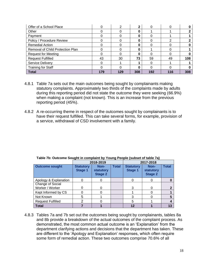| Offer of a School Place          |     | っ   | 2   |     |     |     |
|----------------------------------|-----|-----|-----|-----|-----|-----|
| Other                            |     |     |     |     |     |     |
| Payment                          |     |     | 0   |     |     |     |
| Policy / Procedure Review        |     |     | 0   |     |     |     |
| <b>Remedial Action</b>           |     |     |     |     |     |     |
| Removal of Child Protection Plan |     |     | 0   |     |     |     |
| <b>Request for Meeting</b>       |     |     | 0   |     |     |     |
| <b>Request Fulfilled</b>         | 43  | 30  | 73  | 59  | 49  | 108 |
| <b>Service Delivery</b>          |     |     |     | ი   |     |     |
| <b>Training for Staff</b>        |     |     |     |     |     |     |
| <b>Total</b>                     | 179 | 129 | 308 | 192 | 116 | 308 |

- 4.8.1 Table 7a sets out the main outcomes being sought by complainants making statutory complaints. Approximately two thirds of the complaints made by adults during this reporting period did not state the outcome they were seeking (66.9%) when making a complaint (not known). This is an increase from the previous reporting period (45%).
- 4.8.2 A re-occurring theme in respect of the outcomes sought by complainants is to have their request fulfilled. This can take several forms, for example, provision of a service, withdrawal of CSD involvement with a family.

|                                     |                                    | 2018-2019                           |              | 2017-2018                          |                                     |              |
|-------------------------------------|------------------------------------|-------------------------------------|--------------|------------------------------------|-------------------------------------|--------------|
| <b>Outcome sought</b>               | <b>Statutory</b><br><b>Stage 1</b> | Non-<br>statutory<br><b>Stage 2</b> | <b>Total</b> | <b>Statutory</b><br><b>Stage 1</b> | Non-<br>statutory<br><b>Stage 2</b> | <b>Total</b> |
| Apology & Explanation               |                                    |                                     |              |                                    | $\Box$                              |              |
| Change of Social<br>Worker / Worker |                                    | 0                                   |              | 3                                  | 0                                   |              |
| Kept Informed by CS                 |                                    |                                     |              |                                    |                                     |              |
| Not Known                           |                                    |                                     |              |                                    |                                     |              |
| <b>Request Fulfilled</b>            |                                    |                                     |              | 5                                  |                                     |              |
| <b>Total</b>                        |                                    |                                     |              | 12                                 |                                     | 13           |

**Table 7b: Outcome Sought in complaint by Young People (subset of table 7a)**

4.8.3 Tables 7a and 7b set out the outcomes being sought by complainants, tables 8a and 8b provide a breakdown of the actual outcomes of the complaint process. As demonstrated, the most common actual outcome is an 'Explanation' from the department clarifying actions and decisions that the department has taken. These are different to the 'Apology and Explanation' responses, which often require some form of remedial action. These two outcomes comprise 70.6% of all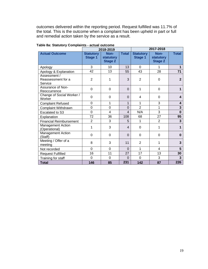outcomes delivered within the reporting period. Request fulfilled was 11.7% of the total. This is the outcome when a complaint has been upheld in part or full and remedial action taken by the service as a result.

|                                               |                                    | 2018-2019                                  |                | 2017-2018                          |                                            |              |
|-----------------------------------------------|------------------------------------|--------------------------------------------|----------------|------------------------------------|--------------------------------------------|--------------|
| <b>Actual Outcome</b>                         | <b>Statutory</b><br><b>Stage 1</b> | Non-<br><b>statutory</b><br><b>Stage 2</b> | <b>Total</b>   | <b>Statutory</b><br><b>Stage 1</b> | Non-<br><b>statutory</b><br><b>Stage 2</b> | <b>Total</b> |
| Apology                                       | 3                                  | 10                                         | 13             | $\Omega$                           | 1                                          | $\mathbf 1$  |
| Apology & Explanation                         | 42                                 | 13                                         | 55             | 43                                 | 28                                         | 71           |
| Assessment /<br>Reassessment for a<br>Service | $\overline{2}$                     | 1                                          | 3              | $\overline{2}$                     | 0                                          | $\mathbf{2}$ |
| Assurance of Non-<br>Reoccurrence             | $\Omega$                           | 0                                          | $\Omega$       | 1                                  | 0                                          | 1            |
| Change of Social Worker /<br>Worker           | $\Omega$                           | $\Omega$                                   | $\Omega$       | 4                                  | 0                                          | 4            |
| <b>Complaint Refused</b>                      | $\Omega$                           | 1                                          | 1              | 1                                  | 3                                          | 4            |
| <b>Complaint Withdrawn</b>                    | $\overline{0}$                     | 0                                          | $\overline{0}$ | $\overline{2}$                     | 1                                          | 3            |
| Escalated to S3                               | $\overline{0}$                     | 4                                          | $\overline{4}$ | N/A                                | 3                                          | $\bf{0}$     |
| Explanation                                   | 72                                 | 36                                         | 108            | 68                                 | 27                                         | 95           |
| <b>Financial Reimbursement</b>                | $\overline{2}$                     | 3                                          | 5              | 1                                  | $\overline{2}$                             | 3            |
| Management Action<br>(Operational)            | 1                                  | 3                                          | $\overline{4}$ | 0                                  | 1                                          | 1            |
| Management Action<br>(Staff)                  | $\overline{0}$                     | $\Omega$                                   | $\Omega$       | 0                                  | $\mathbf 0$                                | $\bf{0}$     |
| Meeting / Offer of a<br>meeting               | 8                                  | 3                                          | 11             | $\overline{2}$                     | 1                                          | 3            |
| Not recorded                                  | $\Omega$                           | 0                                          | $\Omega$       | 1                                  | 4                                          | 5            |
| <b>Request Fulfilled</b>                      | 16                                 | 11                                         | 27             | 17                                 | 13                                         | 30           |
| Training for staff                            | $\overline{0}$                     | 0                                          | $\Omega$       | 0                                  | 3                                          | 3            |
| <b>Total</b>                                  | 146                                | 85                                         | 231            | 142                                | 87                                         | 226          |

**Table 8a: Statutory Complaints - actual outcome**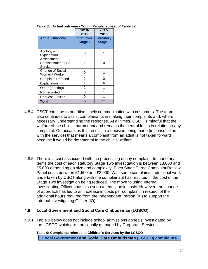|                                               | 2018-<br>2019                      | 2017-<br>2018                      |
|-----------------------------------------------|------------------------------------|------------------------------------|
| <b>Actual Outcome</b>                         | <b>Statutory</b><br><b>Stage 1</b> | <b>Statutory</b><br><b>Stage 1</b> |
| Apology &<br>Explanation                      | O                                  |                                    |
| Assessment /<br>Reassessment for a<br>Service |                                    | U                                  |
| Change of Social<br>Worker / Worker           | O                                  |                                    |
| <b>Complaint Refused</b>                      | 2                                  | 0                                  |
| Explanation                                   | 1                                  | 6                                  |
| Other (meeting)                               | 2                                  | 1                                  |
| Not recorded                                  | 0                                  | 1                                  |
| <b>Request Fulfilled</b>                      | ი                                  |                                    |
| Total                                         | 6                                  | 11                                 |

#### **Table 8b: Actual outcome - Young People (subset of Table 8a)**

- 4.8.4 CSCT continue to prioritise timely communication with customers. The team also continues to assist complainants in making their complaints and, where necessary, understanding the response. At all times, CSCT is mindful that the welfare of the child is paramount and remains the central focus in relation to any complaint. On occasions this results in a decision being made (in consultation with the service) that means a complaint from an adult is not taken forward because it would be detrimental to the child's welfare.
- 4.8.5 There is a cost associated with the processing of any complaint. In monetary terms the cost of each statutory Stage Two investigation is between £3,000 and £5,000 depending on size and complexity. Each Stage Three Complaint Review Panel costs between £1,500 and £3,000. With some complaints, additional work undertaken by CSCT along with the complainant has resulted in the cost of the Stage Two investigation being reduced. The move to using Internal Investigating Officers has also seen a reduction in costs. However, the change of approach has led to an increase in costs per complaint in respect of the additional hours required from the Independent Person (IP) to support the Internal Investigating Officer (IO).

#### **4.9 Local Government and Social Care Ombudsman (LGSCO)**

4.9.1 Table 9 below does not include school admissions appeals investigated by the LGSCO which are traditionally managed by Corporate Services.

**Table 9: Complaints referred to Children's Services by the LGSCO Local Government and Social Care Ombudsman (LGSCO) complaints**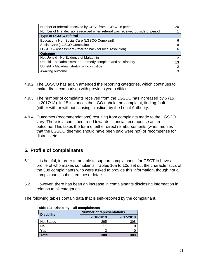| Number of referrals received by CSCT from LGSCO in period                       | 20 |
|---------------------------------------------------------------------------------|----|
| Number of final decisions received when referral was received outside of period |    |
| <b>Type of LGSCO referral</b>                                                   |    |
| Education / Non Social Care (LGSCO Complaint)                                   |    |
| Social Care (LGSCO Complaint)                                                   | 8  |
| LGSCO - Assessment (referred back for local resolution)                         |    |
| <b>Outcome</b>                                                                  |    |
| Not Upheld - No Evidence of Maladmin                                            | າ  |
| Upheld - Maladministration - remedy complete and satisfactory                   | 13 |
| Upheld - Maladministration - no injustice                                       | ⌒  |
| Awaiting outcome                                                                | ว  |

- 4.9.2 The LGSCO has again amended the reporting categories, which continues to make direct comparison with previous years difficult.
- 4.9.3 The number of complaints received from the LGSCO has increased by 5 (15 in 2017/18). In 15 instances the LGO upheld the complaint, finding fault (either with or without causing injustice) by the Local Authority.
- 4.9.4 Outcomes (recommendations) resulting from complaints made to the LGSCO vary. There is a continued trend towards financial recompense as an outcome. This takes the form of either direct reimbursements (when monies that the LGSCO deemed should have been paid were not) or recompense for distress etc.

# **5. Profile of complainants**

- 5.1 It is helpful, in order to be able to support complainants, for CSCT to have a profile of who makes complaints. Tables 10a to 10d set out the characteristics of the 308 complainants who were asked to provide this information, though not all complainants submitted these details.
- 5.2 However, there has been an increase in complainants disclosing information in relation to all categories.

The following tables contain data that is self-reported by the complainant.

| 100.00            | un vunpiuniunu                   |           |
|-------------------|----------------------------------|-----------|
|                   | <b>Number of representations</b> |           |
| <b>Disability</b> | 2018-2019                        | 2017-2018 |
| <b>Not Stated</b> | 295                              | 308       |
| No                | 11                               |           |
| Yes               | ົ                                |           |
| <b>Total</b>      | 308                              | 308       |

| Table 10a: Disability - all complainants |  |
|------------------------------------------|--|
|------------------------------------------|--|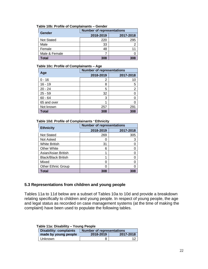| Gender        | <b>Number of representations</b> |           |
|---------------|----------------------------------|-----------|
|               | 2018-2019                        | 2017-2018 |
| Not Stated    | 220                              | 295       |
| Male          | 33                               |           |
| Female        | 48                               |           |
| Male & Female |                                  |           |
| Total         | 308                              | 308       |

#### **Table 10b: Profile of Complainants – Gender**

#### **Table 10c: Profile of Complainants – Age**

|              | <b>Number of representations</b> |                |
|--------------|----------------------------------|----------------|
| Age          | 2018-2019                        | 2017-2018      |
| $0 - 16$     | 2                                | 10             |
| $16 - 19$    | 8                                | 5              |
| $20 - 24$    | 5                                | $\overline{2}$ |
| $25 - 59$    | 32                               |                |
| $60 - 64$    | 3                                |                |
| 65 and over  |                                  |                |
| Not known    | 257                              | 291            |
| <b>Total</b> | 308                              | 308            |

#### **Table 10d: Profile of Complainants** – **Ethnicity**

| <b>Ethnicity</b>           | <b>Number of representations</b> |           |
|----------------------------|----------------------------------|-----------|
|                            | 2018-2019                        | 2017-2018 |
| <b>Not Stated</b>          | 269                              | 305       |
| Not Asked                  |                                  | 3         |
| <b>White British</b>       | 31                               |           |
| <b>Other White</b>         | 6                                |           |
| Asian/Asian British        |                                  |           |
| <b>Black/Black British</b> |                                  |           |
| Mixed                      |                                  |           |
| <b>Other Ethnic Group</b>  |                                  |           |
| <b>Total</b>               | 308                              | 308       |

#### **5.3 Representations from children and young people**

Tables 11a to 11d below are a subset of Tables 10a to 10d and provide a breakdown relating specifically to children and young people. In respect of young people, the age and legal status as recorded on case management systems (at the time of making the complaint) have been used to populate the following tables.

| Table 11a: Disability – Young People |                        |                                  |           |
|--------------------------------------|------------------------|----------------------------------|-----------|
|                                      | Disability: complaints | <b>Number of representations</b> |           |
|                                      | made by young people   | 2018-2019                        | 2017-2018 |
|                                      | Unknown                |                                  | 12        |

# **Table 11a: Disability – Young People**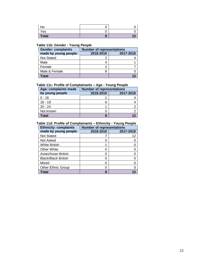| No           | ◡ |                |
|--------------|---|----------------|
| Yes          | ◡ |                |
| <b>Total</b> | œ | $\overline{ }$ |

#### **Table 11b: Gender - Young People**

| <b>Gender: complaints</b> | <b>Number of representations</b> |           |
|---------------------------|----------------------------------|-----------|
| made by young people      | 2018-2019                        | 2017-2018 |
| <b>Not Stated</b>         |                                  |           |
| Male                      |                                  |           |
| Female                    |                                  |           |
| Male & Female             |                                  |           |
| Total                     |                                  |           |

# **Table 11c: Profile of Complainants – Age - Young People**

| Age: complaints made | <b>Number of representations</b> |           |
|----------------------|----------------------------------|-----------|
| by young people      | 2018-2019                        | 2017-2018 |
| $0 - 16$             |                                  |           |
| $16 - 19$            |                                  |           |
| $20 - 24$            |                                  |           |
| Not known            |                                  |           |
| Total                |                                  |           |

#### **Table 11d: Profile of Complainants – Ethnicity - Young People**

| <b>Ethnicity: complaints</b> | <b>Number of representations</b> |           |
|------------------------------|----------------------------------|-----------|
| made by young people         | 2018-2019                        | 2017-2018 |
| <b>Not Stated</b>            |                                  | 12        |
| Not Asked                    |                                  |           |
| <b>White British</b>         |                                  |           |
| <b>Other White</b>           |                                  |           |
| Asian/Asian British          |                                  |           |
| <b>Black/Black British</b>   |                                  |           |
| Mixed                        |                                  |           |
| <b>Other Ethnic Group</b>    |                                  |           |
| Total                        |                                  |           |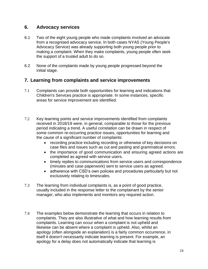# **6. Advocacy services**

- 6.1 Two of the eight young people who made complaints involved an advocate from a recognised advocacy service. In both cases NYAS (Young People's Advocacy Service) was already supporting both young people prior to making a complaint. When they make complaints, young people often seek the support of a trusted adult to do so.
- 6.2 None of the complaints made by young people progressed beyond the initial stage.

# **7. Learning from complaints and service improvements**

- 7.1 Complaints can provide both opportunities for learning and indications that Children's Services practice is appropriate. In some instances, specific areas for service improvement are identified.
- 7.2 Key learning points and service improvements identified from complaints received in 2018/19 were, in general, comparable to those for the previous period indicating a trend. A useful correlation can be drawn in respect of some common re-occurring practice issues, opportunities for learning and the cause of a significant number of complaints:
	- recording practice including recording or otherwise of key decisions on case files and issues such as cut and pasting and grammatical errors.
	- the importance of good communication and ensuring agreed actions are completed as agreed with service users.
	- timely replies to communications from service users and correspondence (minutes and case paperwork) sent to service users as agreed.
	- adherence with CSD's own policies and procedures particularly but not exclusively relating to timescales.
- 7.3 The learning from individual complaints is, as a point of good practice, usually included in the response letter to the complainant by the senior manager, who also implements and monitors any required action.
- 7.4 The examples below demonstrate the learning that occurs in relation to complaints. They are also illustrative of what and how learning results from complaints. Learning can occur when a complaint is not upheld and likewise can be absent where a complaint is upheld. Also, whilst an apology (often alongside an explanation) is a fairly common occurrence, in itself it doesn't necessarily indicate learning is present. For example, an apology for a delay does not automatically indicate that learning is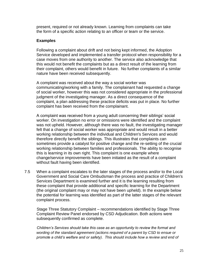present, required or not already known. Learning from complaints can take the form of a specific action relating to an officer or team or the service.

#### **Examples**

Following a complaint about drift and not being kept informed, the Adoption Service developed and implemented a transfer protocol when responsibility for a case moves from one authority to another. The service also acknowledge that this would not benefit the complaints but as a direct result of the learning from their complaint, others would benefit in future. No further complaints of a similar nature have been received subsequently.

A complaint was received about the way a social worker was communicating/working with a family. The complainant had requested a change of social worker, however this was not considered appropriate in the professional judgment of the investigating manager. As a direct consequence of the complaint, a plan addressing these practice deficits was put in place. No further complaint has been received from the complainant.

A complaint was received from a young adult concerning their siblings' social worker. On investigation no error or omissions were identified and the complaint was not upheld. However, although there was no fault, the investigating manager felt that a change of social worker was appropriate and would result in a better working relationship between the individual and Children's Services and would therefore directly benefit the siblings. This illustrates that complaints can sometimes provide a catalyst for positive change and the re-setting of the crucial working relationship between families and professionals. The ability to recognise this is learning in its own right. This complaint is one example where change/service improvements have been initiated as the result of a complaint without fault having been identified.

7.5 When a complaint escalates to the later stages of the process and/or to the Local Government and Social Care Ombudsman the process and practice of Children's Services Department is examined further and it is the learning resulting from these complaint that provide additional and specific learning for the Department (the original complaint may or may not have been upheld). In the example below the potential for learning was identified as part of the latter stages of the relevant complaint process.

Stage Three Statutory Complaint – recommendations identified by Stage Three Complaint Review Panel endorsed by CSD Adjudication. Both actions were subsequently confirmed as complete.

*Children's Services should take this case as an opportunity to review the format and wording of the standard agreement (actions required of a parent by CSD to ensue or promote a child's welfare and or safety). This should include how a review and end of*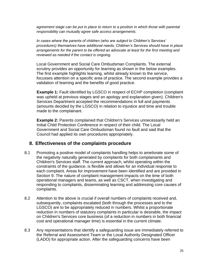*agreement stage can be put in place to return to a position in which those with parental responsibility can mutually agree safe access arrangements.*

*In cases where the parents of children (who are subject to Children's Services' procedures) themselves have additional needs, Children's Services should have in place arrangements for the parent to be offered an advocate at least for the first meeting and reviewed as needed if the contact is ongoing.*

Local Government and Social Care Ombudsman Complaints. The external scrutiny provides an opportunity for learning as shown in the below examples. The first example highlights learning, whilst already known to the service, focusses attention on a specific area of practice. The second example provides a validation of learning and the benefits of good practice.

**Example 1:** Fault identified by LGSCO in respect of ECHP completion (complaint was upheld at previous stages and an apology and explanation given). Children's Services Department accepted the recommendations in full and payments (amounts decided by the LGSCO) in relation to injustice and time and trouble made to the complainant.

**Example 2:** Parents complained that Children's Services unnecessarily held an Initial Child Protection Conference in respect of their child. The Local Government and Social Care Ombudsman found no fault and said that the Council had applied its own procedures appropriately.

# **8. Effectiveness of the complaints procedure**

- 8.1 Promoting a positive model of complaints handling helps to ameliorate some of the negativity naturally generated by complaints for both complainants and Children's Services staff. The current approach, whilst operating within the constraints of the guidance, is flexible and allows for an individual response to each complaint. Areas for improvement have been identified and are provided in Section 9. The nature of complaint management impacts on the time of both operational managers and teams, as well as CSCT, when investigating and responding to complaints, disseminating learning and addressing core causes of complaints.
- 8.2 Attention to the above is crucial if overall numbers of complaints received and, subsequently, complaints escalated (both through the processes and to the LGSCO) are to be appropriately reduced in numbers. Whilst a proportionate reduction in numbers of statutory complaints in particular is desirable, the impact on Children's Services core business (of a reduction in numbers in both financial cost and operational manager time) is essential in the current climate.
- 8.3 Any representations that identify a safeguarding issue are immediately referred to the Referral and Assessment Team or the Local Authority Designated Officer (LADO) for appropriate action. After the safeguarding concerns have been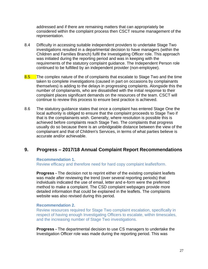addressed and if there are remaining matters that can appropriately be considered within the complaint process then CSCT resume management of the representation.

- 8.4 Difficulty in accessing suitable independent providers to undertake Stage Two investigations resulted in a departmental decision to have managers (within the Children and Families Branch) fulfil the Investigating Officer role. This approach was initiated during the reporting period and was in keeping with the requirements of the statutory complaint guidance. The Independent Person role continued to be fulfilled by an independent provider (non-employee).
- 8.5 The complex nature of the of complaints that escalate to Stage Two and the time taken to complete investigations (caused in part on occasions by complainants themselves) is adding to the delays in progressing complaints. Alongside this the number of complainants, who are dissatisfied with the initial response to their complaint places significant demands on the resources of the team. CSCT will continue to review this process to ensure best practice is achieved.
- 8.6 The statutory guidance states that once a complaint has entered Stage One the local authority is obliged to ensure that the complaint proceeds to Stage Two if that is the complainants wish. Generally, where resolution is possible this is achieved before complaints reach Stage Two. The complaints that progress usually do so because there is an unbridgeable distance between the view of the complainant and that of Children's Services, in terms of what parties believe is accurate and/or achievable.

# **9. Progress – 2017/18 Annual Complaint Report Recommendations**

#### **Recommendation 1.**

Review efficacy and therefore need for hard copy complaint leaflet/form.

**Progress -** The decision not to reprint either of the existing complaint leaflets was made after reviewing the trend (over several reporting periods) that individuals indicated the use of email, letter and e-form were the preferred method to make a complaint. The CSD complaint webpages provide more detailed information that could be explained in the leaflets. The complaints website was also revised during this period.

#### **Recommendation 2.**

Review resources required for Stage Two complaint escalation, specifically in respect of having enough Investigating Officers to escalate, within timescales, and the increasing number of Stage Two investigations.

**Progress -** The departmental decision to use CS managers to undertake the Investigation Officer role was made during the reporting period. This was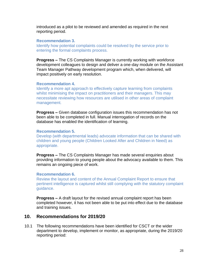introduced as a pilot to be reviewed and amended as required in the next reporting period.

#### **Recommendation 3.**

Identify how potential complaints could be resolved by the service prior to entering the formal complaints process.

**Progress –** The CS Complaints Manager is currently working with workforce development colleagues to design and deliver a one-day module on the Assistant Team Manager Pathway development program which, when delivered, will impact positively on early resolution.

#### **Recommendation 4.**

Identify a more apt approach to effectively capture learning from complaints whilst minimising the impact on practitioners and their managers. This may necessitate reviewing how resources are utilised in other areas of complaint management.

**Progress –** Given database configuration issues this recommendation has not been able to be completed in full. Manual interrogation of records on the database has enabled the identification of learning.

#### **Recommendation 5.**

Develop (with departmental leads) advocate information that can be shared with children and young people (Children Looked After and Children in Need) as appropriate.

**Progress –** The CS Complaints Manager has made several enquiries about providing information to young people about the advocacy available to them. This remains an ongoing piece of work.

#### **Recommendation 6.**

Review the layout and content of the Annual Complaint Report to ensure that pertinent intelligence is captured whilst still complying with the statutory complaint guidance.

**Progress –** A draft layout for the revised annual complaint report has been completed however, it has not been able to be put into effect due to the database and training issues.

### **10. Recommendations for 2019/20**

10.1 The following recommendations have been identified for CSCT or the wider department to develop, implement or monitor, as appropriate, during the 2019/20 reporting period: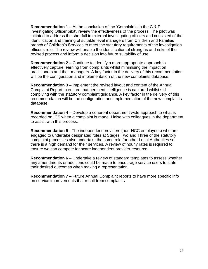**Recommendation 1 –** At the conclusion of the 'Complaints in the C & F Investigating Officer pilot', review the effectiveness of the process. The pilot was initiated to address the shortfall in external investigating officers and consisted of the identification and training of suitable level managers from Children and Families branch of Children's Services to meet the statutory requirements of the investigation officer's role. The review will enable the identification of strengths and risks of the revised process and inform a decision into future suitability of use.

**Recommendation 2 –** Continue to identify a more appropriate approach to effectively capture learning from complaints whilst minimising the impact on practitioners and their managers. A key factor in the delivery of this recommendation will be the configuration and implementation of the new complaints database.

**Recommendation 3 –** Implement the revised layout and content of the Annual Complaint Report to ensure that pertinent intelligence is captured whilst still complying with the statutory complaint guidance. A key factor in the delivery of this recommendation will be the configuration and implementation of the new complaints database.

**Recommendation 4 –** Develop a coherent department wide approach to what is recorded on ICS when a complaint is made. Liaise with colleagues in the department to assist with this process.

**Recommendation 5** - The independent providers (non-HCC employees) who are engaged to undertake designated roles at Stages Two and Three of the statutory complaint processes also undertake the same role for other Local Authorities so there is a high demand for their services. A review of hourly rates is required to ensure we can compete for scare independent provider resource.

**Recommendation 6** – Undertake a review of standard templates to assess whether any amendments or additions could be made to encourage service users to state their desired outcomes when making a representation.

**Recommendation 7 –** Future Annual Complaint reports to have more specific info on service improvements that result from complaints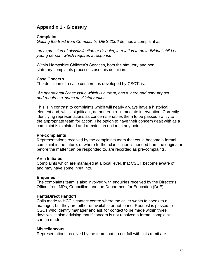# **Appendix 1 - Glossary**

#### **Complaint**

*Getting the Best from Complaints, DfES 2006* defines a complaint as:

'*an expression of dissatisfaction or disquiet, in relation to an individual child or young person, which requires a response*'.

Within Hampshire Children's Services, both the statutory and non statutory complaints processes use this definition.

#### **Case Concern**

The definition of a case concern, as developed by CSCT, is:

'*An operational / case issue which is current, has a 'here and now' impact and requires a 'same day' intervention.*'

This is in contrast to complaints which will nearly always have a historical element and, whilst significant, do not require immediate intervention. Correctly identifying representations as concerns enables them to be passed swiftly to the appropriate team for action. The option to have their concern dealt with as a complaint is explained and remains an option at any point.

#### **Pre-complaints**

Representations received by the complaints team that could become a formal complaint in the future, or where further clarification is needed from the originator before the matter can be responded to, are recorded as pre-complaints.

#### **Area Initiated**

Complaints which are managed at a local level, that CSCT become aware of, and may have some input into.

#### **Enquiries**

The complaints team is also involved with enquiries received by the Director's Office, from MPs, Councillors and the Department for Education (DoE).

#### **HantsDirect Handoff**

Calls made to HCC's contact centre where the caller wants to speak to a manager, but they are either unavailable or not found. Request is passed to CSCT who identify manager and ask for contact to be made within three days whilst also advising that if concern is not resolved a formal complaint can be made.

#### **Miscellaneous**

Representations received by the team that do not fall within its remit are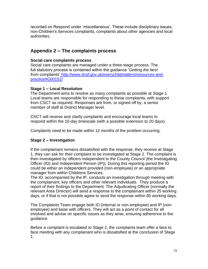recorded on Respond under 'miscellaneous'. These include disciplinary issues, non-Children's Services complaints, complaints about other agencies and local authorities.

# **Appendix 2 – The complaints process**

# **Social care complaints process**

Social care complaints are managed under a three-stage process. The full statutory process is contained within the guidance '*Getting the best from complaints*' [http://www.dcsf.gov.uk/everychildmatters/resources-and](http://www.dcsf.gov.uk/everychildmatters/resources-and-practice/IG00152/)[practice/IG00152/](http://www.dcsf.gov.uk/everychildmatters/resources-and-practice/IG00152/)

# **Stage 1 – Local Resolution**

The Department aims to resolve as many complaints as possible at Stage 1. Local teams are responsible for responding to these complaints, with support from CSCT as required. Responses are from, or signed off by, a senior member of staff at District Manager level.

CSCT will receive and clarify complaints and encourage local teams to respond within the 10-day timescale (with a possible extension to 20 days).

Complaints need to be made within 12 months of the problem occurring.

# **Stage 2 – Investigation**

If the complainant remains dissatisfied with the response, they receive at Stage 1, they can ask for their complaint to be investigated at Stage 2. The complaint is then investigated by officers independent to the County Council (the Investigating Officer (IO) and Independent Person (IP)). During this reporting period the IO could be either an independent provided (non-employee) or an appropriate manager from within Childrens Services.

The IO, accompanied by the IP, conducts an investigation through meeting with the complainant, key officers and other relevant individuals. They produce a report of their findings to the Department. The Adjudicating Officer (normally the relevant Area Director) will send a response to the complainant within 25 working days, or if that is not possible agree to send the response within 65 working days.

The Complaints Team engage both IO (internal or non-employee) and IP (nonemployee) and liaise with officers. They will act as a point of contact for all involved and advise on specific issues as they arise, ensuring adherence to the guidance.

Before a complaint is escalated to Stage 2, the complaints team offer a face to face meeting with any complainant who is dissatisfied at the conclusion of Stage 1.